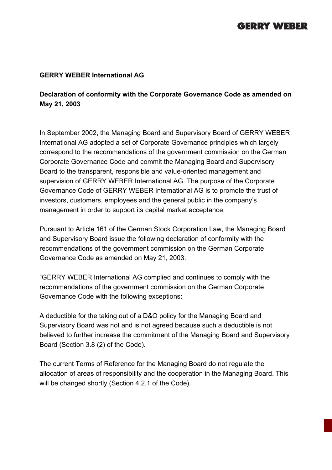# **GERRY WEBER**

#### **GERRY WEBER International AG**

### **Declaration of conformity with the Corporate Governance Code as amended on May 21, 2003**

In September 2002, the Managing Board and Supervisory Board of GERRY WEBER International AG adopted a set of Corporate Governance principles which largely correspond to the recommendations of the government commission on the German Corporate Governance Code and commit the Managing Board and Supervisory Board to the transparent, responsible and value-oriented management and supervision of GERRY WEBER International AG. The purpose of the Corporate Governance Code of GERRY WEBER International AG is to promote the trust of investors, customers, employees and the general public in the company's management in order to support its capital market acceptance.

Pursuant to Article 161 of the German Stock Corporation Law, the Managing Board and Supervisory Board issue the following declaration of conformity with the recommendations of the government commission on the German Corporate Governance Code as amended on May 21, 2003:

"GERRY WEBER International AG complied and continues to comply with the recommendations of the government commission on the German Corporate Governance Code with the following exceptions:

A deductible for the taking out of a D&O policy for the Managing Board and Supervisory Board was not and is not agreed because such a deductible is not believed to further increase the commitment of the Managing Board and Supervisory Board (Section 3.8 (2) of the Code).

The current Terms of Reference for the Managing Board do not regulate the allocation of areas of responsibility and the cooperation in the Managing Board. This will be changed shortly (Section 4.2.1 of the Code).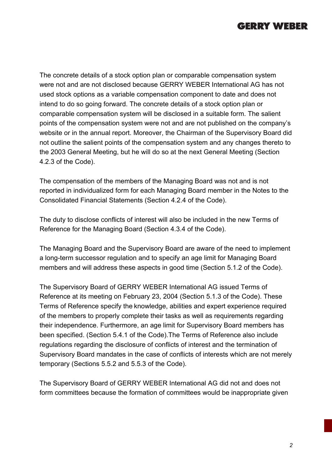### **GERRY WEBER**

The concrete details of a stock option plan or comparable compensation system were not and are not disclosed because GERRY WEBER International AG has not used stock options as a variable compensation component to date and does not intend to do so going forward. The concrete details of a stock option plan or comparable compensation system will be disclosed in a suitable form. The salient points of the compensation system were not and are not published on the company's website or in the annual report. Moreover, the Chairman of the Supervisory Board did not outline the salient points of the compensation system and any changes thereto to the 2003 General Meeting, but he will do so at the next General Meeting (Section 4.2.3 of the Code).

The compensation of the members of the Managing Board was not and is not reported in individualized form for each Managing Board member in the Notes to the Consolidated Financial Statements (Section 4.2.4 of the Code).

The duty to disclose conflicts of interest will also be included in the new Terms of Reference for the Managing Board (Section 4.3.4 of the Code).

The Managing Board and the Supervisory Board are aware of the need to implement a long-term successor regulation and to specify an age limit for Managing Board members and will address these aspects in good time (Section 5.1.2 of the Code).

The Supervisory Board of GERRY WEBER International AG issued Terms of Reference at its meeting on February 23, 2004 (Section 5.1.3 of the Code). These Terms of Reference specify the knowledge, abilities and expert experience required of the members to properly complete their tasks as well as requirements regarding their independence. Furthermore, an age limit for Supervisory Board members has been specified. (Section 5.4.1 of the Code).The Terms of Reference also include regulations regarding the disclosure of conflicts of interest and the termination of Supervisory Board mandates in the case of conflicts of interests which are not merely temporary (Sections 5.5.2 and 5.5.3 of the Code).

The Supervisory Board of GERRY WEBER International AG did not and does not form committees because the formation of committees would be inappropriate given